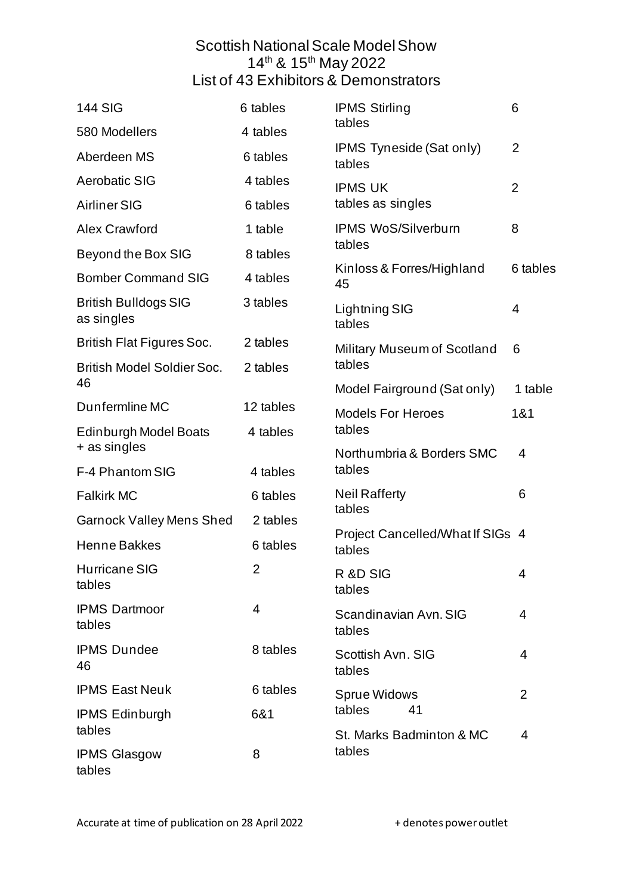## Scottish National Scale Model Show 14<sup>th</sup> & 15<sup>th</sup> May 2022 List of 43 Exhibitors & Demonstrators

| <b>144 SIG</b>                            | 6 tables       | <b>IPMS Stirling</b><br>tables                                            | 6              |
|-------------------------------------------|----------------|---------------------------------------------------------------------------|----------------|
| 580 Modellers                             | 4 tables       |                                                                           |                |
| Aberdeen MS                               | 6 tables       | <b>IPMS Tyneside (Sat only)</b><br>tables                                 | $\overline{2}$ |
| <b>Aerobatic SIG</b>                      | 4 tables       | <b>IPMS UK</b><br>tables as singles                                       | $\overline{2}$ |
| <b>Airliner SIG</b>                       | 6 tables       |                                                                           |                |
| <b>Alex Crawford</b>                      | 1 table        | <b>IPMS WoS/Silverburn</b><br>tables                                      | 8              |
| Beyond the Box SIG                        | 8 tables       |                                                                           |                |
| <b>Bomber Command SIG</b>                 | 4 tables       | Kinloss & Forres/Highland<br>45                                           | 6 tables       |
| <b>British Bulldogs SIG</b><br>as singles | 3 tables       | Lightning SIG<br>tables                                                   | 4              |
| <b>British Flat Figures Soc.</b>          | 2 tables       | Military Museum of Scotland<br>tables                                     | 6              |
| <b>British Model Soldier Soc.</b>         | 2 tables       |                                                                           |                |
| 46                                        |                | Model Fairground (Sat only)                                               | 1 table        |
| Dunfermline MC                            | 12 tables      | <b>Models For Heroes</b><br>tables<br>Northumbria & Borders SMC           | 1&1            |
| Edinburgh Model Boats<br>+ as singles     | 4 tables       |                                                                           | 4              |
| F-4 Phantom SIG                           | 4 tables       | tables                                                                    |                |
| <b>Falkirk MC</b>                         | 6 tables       | <b>Neil Rafferty</b><br>tables                                            | 6              |
| <b>Garnock Valley Mens Shed</b>           | 2 tables       |                                                                           |                |
| <b>Henne Bakkes</b>                       | 6 tables       | Project Cancelled/What If SIGs 4<br>tables                                |                |
| <b>Hurricane SIG</b><br>tables            | $\overline{2}$ | R &D SIG<br>tables                                                        | 4              |
| <b>IPMS Dartmoor</b><br>tables            | 4              | Scandinavian Avn, SIG<br>tables                                           | $\overline{4}$ |
| <b>IPMS Dundee</b><br>46                  | 8 tables       | Scottish Avn. SIG<br>tables                                               | 4              |
| <b>IPMS East Neuk</b>                     | 6 tables       | <b>Sprue Widows</b><br>tables<br>41<br>St. Marks Badminton & MC<br>tables | $\overline{2}$ |
| <b>IPMS Edinburgh</b>                     | 6&1            |                                                                           |                |
| tables                                    |                |                                                                           | $\overline{4}$ |
| <b>IPMS Glasgow</b><br>tables             | 8              |                                                                           |                |